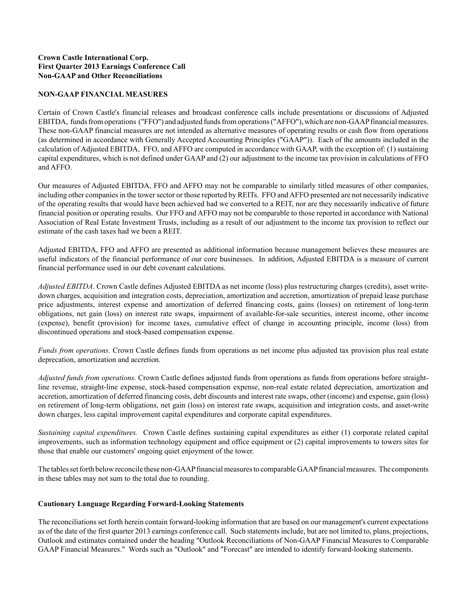# **Crown Castle International Corp. First Quarter 2013 Earnings Conference Call Non-GAAP and Other Reconciliations**

#### **NON-GAAP FINANCIAL MEASURES**

Certain of Crown Castle's financial releases and broadcast conference calls include presentations or discussions of Adjusted EBITDA, funds from operations ("FFO") and adjusted funds from operations ("AFFO"), which are non-GAAPfinancial measures. These non-GAAP financial measures are not intended as alternative measures of operating results or cash flow from operations (as determined in accordance with Generally Accepted Accounting Principles ("GAAP")). Each of the amounts included in the calculation of Adjusted EBITDA, FFO, and AFFO are computed in accordance with GAAP, with the exception of: (1) sustaining capital expenditures, which is not defined under GAAPand (2) our adjustment to the income tax provision in calculations of FFO and AFFO.

Our measures of Adjusted EBITDA, FFO and AFFO may not be comparable to similarly titled measures of other companies, including other companies in the tower sector or those reported by REITs. FFO and AFFO presented are not necessarily indicative of the operating results that would have been achieved had we converted to a REIT, nor are they necessarily indicative of future financial position or operating results. Our FFO and AFFO may not be comparable to those reported in accordance with National Association of Real Estate Investment Trusts, including as a result of our adjustment to the income tax provision to reflect our estimate of the cash taxes had we been a REIT.

Adjusted EBITDA, FFO and AFFO are presented as additional information because management believes these measures are useful indicators of the financial performance of our core businesses. In addition, Adjusted EBITDA is a measure of current financial performance used in our debt covenant calculations.

*Adjusted EBITDA*. Crown Castle defines Adjusted EBITDA as net income (loss) plus restructuring charges (credits), asset writedown charges, acquisition and integration costs, depreciation, amortization and accretion, amortization of prepaid lease purchase price adjustments, interest expense and amortization of deferred financing costs, gains (losses) on retirement of long-term obligations, net gain (loss) on interest rate swaps, impairment of available-for-sale securities, interest income, other income (expense), benefit (provision) for income taxes, cumulative effect of change in accounting principle, income (loss) from discontinued operations and stock-based compensation expense.

*Funds from operations.* Crown Castle defines funds from operations as net income plus adjusted tax provision plus real estate deprecation, amortization and accretion.

*Adjusted funds from operations.* Crown Castle defines adjusted funds from operations as funds from operations before straightline revenue, straight-line expense, stock-based compensation expense, non-real estate related depreciation, amortization and accretion, amortization of deferred financing costs, debt discounts and interest rate swaps, other (income) and expense, gain (loss) on retirement of long-term obligations, net gain (loss) on interest rate swaps, acquisition and integration costs, and asset-write down charges, less capital improvement capital expenditures and corporate capital expenditures.

*Sustaining capital expenditures.* Crown Castle defines sustaining capital expenditures as either (1) corporate related capital improvements, such as information technology equipment and office equipment or (2) capital improvements to towers sites for those that enable our customers' ongoing quiet enjoyment of the tower.

The tables set forth below reconcile these non-GAAPfinancial measures to comparable GAAPfinancial measures. The components in these tables may not sum to the total due to rounding.

#### **Cautionary Language Regarding Forward-Looking Statements**

The reconciliations set forth herein contain forward-looking information that are based on our management's current expectations as of the date of the first quarter 2013 earnings conference call. Such statements include, but are not limited to, plans, projections, Outlook and estimates contained under the heading "Outlook Reconciliations of Non-GAAP Financial Measures to Comparable GAAP Financial Measures." Words such as "Outlook" and "Forecast" are intended to identify forward-looking statements.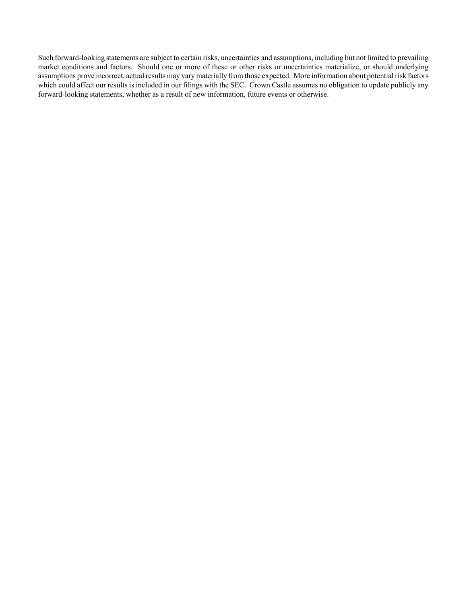Such forward-looking statements are subject to certain risks, uncertainties and assumptions, including but not limited to prevailing market conditions and factors. Should one or more of these or other risks or uncertainties materialize, or should underlying assumptions prove incorrect, actual results may vary materially from those expected. More information about potential risk factors which could affect our results is included in our filings with the SEC. Crown Castle assumes no obligation to update publicly any forward-looking statements, whether as a result of new information, future events or otherwise.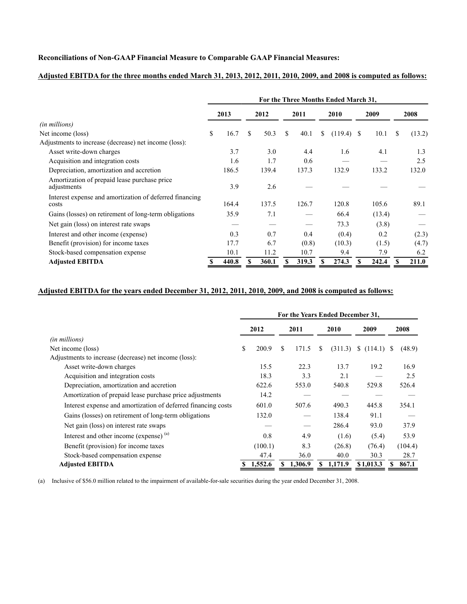# **Reconciliations of Non-GAAP Financial Measure to Comparable GAAP Financial Measures:**

# **Adjusted EBITDA for the three months ended March 31, 2013, 2012, 2011, 2010, 2009, and 2008 is computed as follows:**

|                                                                  |            |     |       |            |      | For the Three Months Ended March 31, |      |        |    |        |  |  |  |      |
|------------------------------------------------------------------|------------|-----|-------|------------|------|--------------------------------------|------|--------|----|--------|--|--|--|------|
|                                                                  | 2013       |     | 2012  | 2011       | 2010 |                                      | 2009 |        |    |        |  |  |  | 2008 |
| (in millions)                                                    |            |     |       |            |      |                                      |      |        |    |        |  |  |  |      |
| Net income (loss)                                                | \$<br>16.7 | \$. | 50.3  | \$<br>40.1 | \$   | $(119.4)$ \$                         |      | 10.1   | S. | (13.2) |  |  |  |      |
| Adjustments to increase (decrease) net income (loss):            |            |     |       |            |      |                                      |      |        |    |        |  |  |  |      |
| Asset write-down charges                                         | 3.7        |     | 3.0   | 4.4        |      | 1.6                                  |      | 4.1    |    | 1.3    |  |  |  |      |
| Acquisition and integration costs                                | 1.6        |     | 1.7   | 0.6        |      |                                      |      |        |    | 2.5    |  |  |  |      |
| Depreciation, amortization and accretion                         | 186.5      |     | 139.4 | 137.3      |      | 132.9                                |      | 133.2  |    | 132.0  |  |  |  |      |
| Amortization of prepaid lease purchase price<br>adjustments      | 3.9        |     | 2.6   |            |      |                                      |      |        |    |        |  |  |  |      |
| Interest expense and amortization of deferred financing<br>costs | 164.4      |     | 137.5 | 126.7      |      | 120.8                                |      | 105.6  |    | 89.1   |  |  |  |      |
| Gains (losses) on retirement of long-term obligations            | 35.9       |     | 7.1   |            |      | 66.4                                 |      | (13.4) |    |        |  |  |  |      |
| Net gain (loss) on interest rate swaps                           |            |     |       |            |      | 73.3                                 |      | (3.8)  |    |        |  |  |  |      |
| Interest and other income (expense)                              | 0.3        |     | 0.7   | 0.4        |      | (0.4)                                |      | 0.2    |    | (2.3)  |  |  |  |      |
| Benefit (provision) for income taxes                             | 17.7       |     | 6.7   | (0.8)      |      | (10.3)                               |      | (1.5)  |    | (4.7)  |  |  |  |      |
| Stock-based compensation expense                                 | 10.1       |     | 11.2  | 10.7       |      | 9.4                                  |      | 7.9    |    | 6.2    |  |  |  |      |
| <b>Adjusted EBITDA</b>                                           | 440.8      |     | 360.1 | 319.3      |      | 274.3                                |      | 242.4  |    | 211.0  |  |  |  |      |

# **Adjusted EBITDA for the years ended December 31, 2012, 2011, 2010, 2009, and 2008 is computed as follows:**

|                                                               | For the Years Ended December 31, |         |    |         |   |         |           |              |         |
|---------------------------------------------------------------|----------------------------------|---------|----|---------|---|---------|-----------|--------------|---------|
|                                                               |                                  | 2012    |    | 2011    |   | 2010    | 2009      |              | 2008    |
| (in millions)                                                 |                                  |         |    |         |   |         |           |              |         |
| Net income (loss)                                             | \$                               | 200.9   | \$ | 171.5   | S | (311.3) | \$(114.1) | <sup>S</sup> | (48.9)  |
| Adjustments to increase (decrease) net income (loss):         |                                  |         |    |         |   |         |           |              |         |
| Asset write-down charges                                      |                                  | 15.5    |    | 22.3    |   | 13.7    | 19.2      |              | 16.9    |
| Acquisition and integration costs                             |                                  | 18.3    |    | 3.3     |   | 2.1     |           |              | 2.5     |
| Depreciation, amortization and accretion                      |                                  | 622.6   |    | 553.0   |   | 540.8   | 529.8     |              | 526.4   |
| Amortization of prepaid lease purchase price adjustments      |                                  | 14.2    |    |         |   |         |           |              |         |
| Interest expense and amortization of deferred financing costs |                                  | 601.0   |    | 507.6   |   | 490.3   | 445.8     |              | 354.1   |
| Gains (losses) on retirement of long-term obligations         |                                  | 132.0   |    |         |   | 138.4   | 91.1      |              |         |
| Net gain (loss) on interest rate swaps                        |                                  |         |    |         |   | 286.4   | 93.0      |              | 37.9    |
| Interest and other income (expense) (a)                       |                                  | 0.8     |    | 4.9     |   | (1.6)   | (5.4)     |              | 53.9    |
| Benefit (provision) for income taxes                          |                                  | (100.1) |    | 8.3     |   | (26.8)  | (76.4)    |              | (104.4) |
| Stock-based compensation expense                              |                                  | 47.4    |    | 36.0    |   | 40.0    | 30.3      |              | 28.7    |
| <b>Adjusted EBITDA</b>                                        | S                                | 1,552.6 |    | 1,306.9 |   | 1,171.9 | \$1,013.3 |              | 867.1   |

(a) Inclusive of \$56.0 million related to the impairment of available-for-sale securities during the year ended December 31, 2008.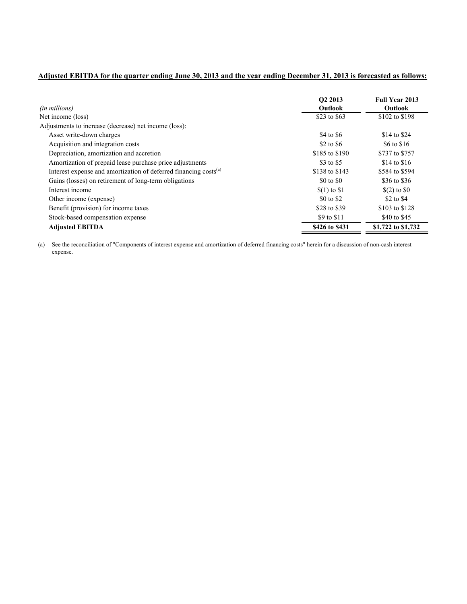# **Adjusted EBITDA for the quarter ending June 30, 2013 and the year ending December 31, 2013 is forecasted as follows:**

| (in millions)                                                                | O <sub>2</sub> 2013<br><b>Outlook</b> | <b>Full Year 2013</b><br><b>Outlook</b> |
|------------------------------------------------------------------------------|---------------------------------------|-----------------------------------------|
| Net income (loss)                                                            | \$23 to \$63                          | \$102 to \$198                          |
| Adjustments to increase (decrease) net income (loss):                        |                                       |                                         |
| Asset write-down charges                                                     | \$4 to \$6                            | \$14 to \$24                            |
| Acquisition and integration costs                                            | \$2 to \$6                            | \$6 to \$16                             |
| Depreciation, amortization and accretion                                     | \$185 to \$190                        | \$737 to \$757                          |
| Amortization of prepaid lease purchase price adjustments                     | \$3 to \$5                            | $$14$ to $$16$                          |
| Interest expense and amortization of deferred financing costs <sup>(a)</sup> | \$138 to \$143                        | \$584 to \$594                          |
| Gains (losses) on retirement of long-term obligations                        | \$0 to \$0                            | \$36 to \$36                            |
| Interest income                                                              | $$(1)$ to \$1                         | $(2)$ to $(6)$                          |
| Other income (expense)                                                       | \$0 to \$2                            | \$2 to \$4                              |
| Benefit (provision) for income taxes                                         | \$28 to \$39                          | \$103 to \$128                          |
| Stock-based compensation expense                                             | \$9 to \$11                           | \$40 to \$45                            |
| <b>Adjusted EBITDA</b>                                                       | \$426 to \$431                        | \$1,722 to \$1,732                      |

(a) See the reconciliation of "Components of interest expense and amortization of deferred financing costs" herein for a discussion of non-cash interest expense.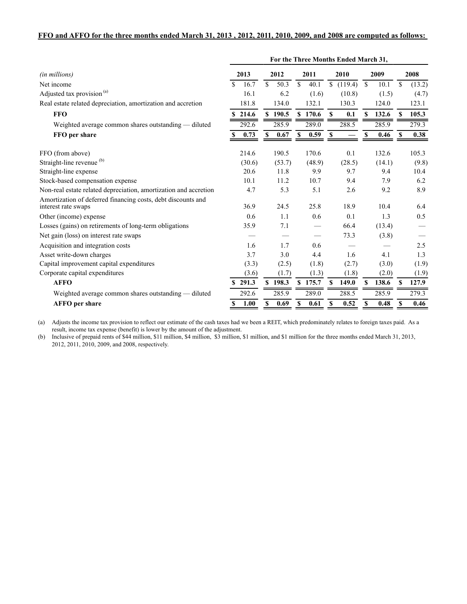# **FFO and AFFO for the three months ended March 31, 2013 , 2012, 2011, 2010, 2009, and 2008 are computed as follows:**

|                                                                                     |    |         |      |         |      |         |              |         |             | For the Three Months Ended March 31, |    |                    |  |  |  |  |
|-------------------------------------------------------------------------------------|----|---------|------|---------|------|---------|--------------|---------|-------------|--------------------------------------|----|--------------------|--|--|--|--|
| (in millions)                                                                       |    | 2013    | 2012 |         | 2011 |         | 2010         |         | 2009        |                                      |    | 2008               |  |  |  |  |
| Net income                                                                          | \$ | 16.7    | \$   | 50.3    | S.   | 40.1    |              | (119.4) | $\mathbf S$ | 10.1                                 | \$ | (13.2)             |  |  |  |  |
| Adjusted tax provision <sup>(a)</sup>                                               |    | 16.1    |      | 6.2     |      | (1.6)   |              | (10.8)  |             | (1.5)                                |    | (4.7)              |  |  |  |  |
| Real estate related depreciation, amortization and accretion                        |    | 181.8   |      | 134.0   |      | 132.1   |              | 130.3   |             | 124.0                                |    | 123.1              |  |  |  |  |
| <b>FFO</b>                                                                          |    | \$214.6 |      | \$190.5 |      | \$170.6 | $\mathbf{s}$ | 0.1     | S           | 132.6                                | S  | 105.3              |  |  |  |  |
| Weighted average common shares outstanding — diluted                                |    | 292.6   |      | 285.9   |      | 289.0   |              | 288.5   |             | 285.9                                |    | $279.\overline{3}$ |  |  |  |  |
| FFO per share                                                                       | -S | 0.73    | S    | 0.67    | S    | 0.59    | $\mathbf s$  |         |             | 0.46                                 | -S | 0.38               |  |  |  |  |
| FFO (from above)                                                                    |    | 214.6   |      | 190.5   |      | 170.6   |              | 0.1     |             | 132.6                                |    | 105.3              |  |  |  |  |
| Straight-line revenue (b)                                                           |    | (30.6)  |      | (53.7)  |      | (48.9)  |              | (28.5)  |             | (14.1)                               |    | (9.8)              |  |  |  |  |
| Straight-line expense                                                               |    | 20.6    |      | 11.8    |      | 9.9     |              | 9.7     |             | 9.4                                  |    | 10.4               |  |  |  |  |
| Stock-based compensation expense                                                    |    | 10.1    |      | 11.2    |      | 10.7    |              | 9.4     |             | 7.9                                  |    | 6.2                |  |  |  |  |
| Non-real estate related depreciation, amortization and accretion                    |    | 4.7     |      | 5.3     |      | 5.1     |              | 2.6     |             | 9.2                                  |    | 8.9                |  |  |  |  |
| Amortization of deferred financing costs, debt discounts and<br>interest rate swaps |    | 36.9    |      | 24.5    |      | 25.8    |              | 18.9    |             | 10.4                                 |    | 6.4                |  |  |  |  |
| Other (income) expense                                                              |    | 0.6     |      | 1.1     |      | 0.6     |              | 0.1     |             | 1.3                                  |    | 0.5                |  |  |  |  |
| Losses (gains) on retirements of long-term obligations                              |    | 35.9    |      | 7.1     |      |         |              | 66.4    |             | (13.4)                               |    |                    |  |  |  |  |
| Net gain (loss) on interest rate swaps                                              |    |         |      |         |      |         |              | 73.3    |             | (3.8)                                |    |                    |  |  |  |  |
| Acquisition and integration costs                                                   |    | 1.6     |      | 1.7     |      | 0.6     |              |         |             |                                      |    | 2.5                |  |  |  |  |
| Asset write-down charges                                                            |    | 3.7     |      | 3.0     |      | 4.4     |              | 1.6     |             | 4.1                                  |    | 1.3                |  |  |  |  |
| Capital improvement capital expenditures                                            |    | (3.3)   |      | (2.5)   |      | (1.8)   |              | (2.7)   |             | (3.0)                                |    | (1.9)              |  |  |  |  |
| Corporate capital expenditures                                                      |    | (3.6)   |      | (1.7)   |      | (1.3)   |              | (1.8)   |             | (2.0)                                |    | (1.9)              |  |  |  |  |
| <b>AFFO</b>                                                                         |    | \$291.3 |      | \$198.3 |      | \$175.7 | $\mathbf{s}$ | 149.0   | \$          | 138.6                                | S  | 127.9              |  |  |  |  |
| Weighted average common shares outstanding — diluted                                |    | 292.6   |      | 285.9   |      | 289.0   |              | 288.5   |             | 285.9                                |    | 279.3              |  |  |  |  |
| <b>AFFO</b> per share                                                               | S  | 1.00    | \$   | 0.69    | \$   | 0.61    | \$           | 0.52    | \$          | 0.48                                 | S  | 0.46               |  |  |  |  |

(a) Adjusts the income tax provision to reflect our estimate of the cash taxes had we been a REIT, which predominately relates to foreign taxes paid. As a result, income tax expense (benefit) is lower by the amount of the adjustment.

(b) Inclusive of prepaid rents of \$44 million, \$11 million, \$4 million, \$3 million, \$1 million, and \$1 million for the three months ended March 31, 2013, 2012, 2011, 2010, 2009, and 2008, respectively.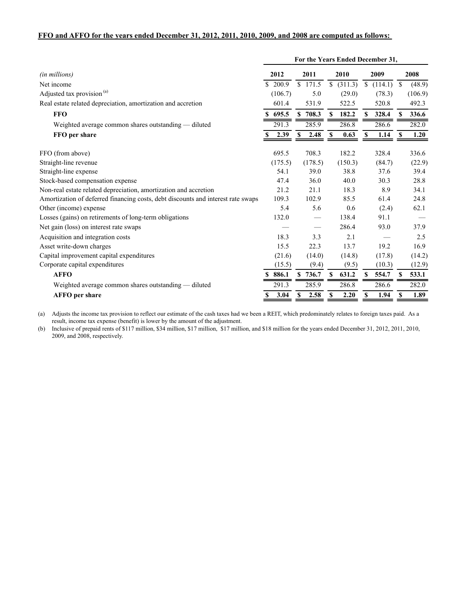# **FFO and AFFO for the years ended December 31, 2012, 2011, 2010, 2009, and 2008 are computed as follows:**

|                                                                                  |            |    |         |                    |         |     | For the Years Ended December 31, |               |         |
|----------------------------------------------------------------------------------|------------|----|---------|--------------------|---------|-----|----------------------------------|---------------|---------|
| (in millions)                                                                    | 2012       |    | 2011    |                    | 2010    |     | 2009                             |               | 2008    |
| Net income                                                                       | \$200.9    |    | \$171.5 | $\mathbb{S}$       | (311.3) | \$  | (114.1)                          | <sup>\$</sup> | (48.9)  |
| Adjusted tax provision <sup>(a)</sup>                                            | (106.7)    |    | 5.0     |                    | (29.0)  |     | (78.3)                           |               | (106.9) |
| Real estate related depreciation, amortization and accretion                     | 601.4      |    | 531.9   |                    | 522.5   |     | 520.8                            |               | 492.3   |
| <b>FFO</b>                                                                       | \$695.5    | S  | 708.3   | \$.                | 182.2   | \$. | 328.4                            | S             | 336.6   |
| Weighted average common shares outstanding - diluted                             | 291.3      |    | 285.9   |                    | 286.8   |     | 286.6                            |               | 282.0   |
| FFO per share                                                                    | 2.39       |    | 2.48    |                    | 0.63    | \$  | 1.14                             | S             | 1.20    |
| FFO (from above)                                                                 | 695.5      |    | 708.3   |                    | 182.2   |     | 328.4                            |               | 336.6   |
| Straight-line revenue                                                            | (175.5)    |    | (178.5) |                    | (150.3) |     | (84.7)                           |               | (22.9)  |
| Straight-line expense                                                            | 54.1       |    | 39.0    |                    | 38.8    |     | 37.6                             |               | 39.4    |
| Stock-based compensation expense                                                 | 47.4       |    | 36.0    |                    | 40.0    |     | 30.3                             |               | 28.8    |
| Non-real estate related depreciation, amortization and accretion                 | 21.2       |    | 21.1    |                    | 18.3    |     | 8.9                              |               | 34.1    |
| Amortization of deferred financing costs, debt discounts and interest rate swaps | 109.3      |    | 102.9   |                    | 85.5    |     | 61.4                             |               | 24.8    |
| Other (income) expense                                                           | 5.4        |    | 5.6     |                    | 0.6     |     | (2.4)                            |               | 62.1    |
| Losses (gains) on retirements of long-term obligations                           | 132.0      |    |         |                    | 138.4   |     | 91.1                             |               |         |
| Net gain (loss) on interest rate swaps                                           |            |    |         |                    | 286.4   |     | 93.0                             |               | 37.9    |
| Acquisition and integration costs                                                | 18.3       |    | 3.3     |                    | 2.1     |     |                                  |               | 2.5     |
| Asset write-down charges                                                         | 15.5       |    | 22.3    |                    | 13.7    |     | 19.2                             |               | 16.9    |
| Capital improvement capital expenditures                                         | (21.6)     |    | (14.0)  |                    | (14.8)  |     | (17.8)                           |               | (14.2)  |
| Corporate capital expenditures                                                   | (15.5)     |    | (9.4)   |                    | (9.5)   |     | (10.3)                           |               | (12.9)  |
| <b>AFFO</b>                                                                      | \$86.1     |    | \$736.7 | S                  | 631.2   | S   | 554.7                            | S             | 533.1   |
| Weighted average common shares outstanding - diluted                             | 291.3      |    | 285.9   |                    | 286.8   |     | 286.6                            |               | 282.0   |
| <b>AFFO</b> per share                                                            | \$<br>3.04 | \$ | 2.58    | $\stackrel{\$}{=}$ | 2.20    | \$  | 1.94                             | \$            | 1.89    |

(a) Adjusts the income tax provision to reflect our estimate of the cash taxes had we been a REIT, which predominately relates to foreign taxes paid. As a result, income tax expense (benefit) is lower by the amount of the adjustment.

(b) Inclusive of prepaid rents of \$117 million, \$34 million, \$17 million, \$17 million, and \$18 million for the years ended December 31, 2012, 2011, 2010, 2009, and 2008, respectively.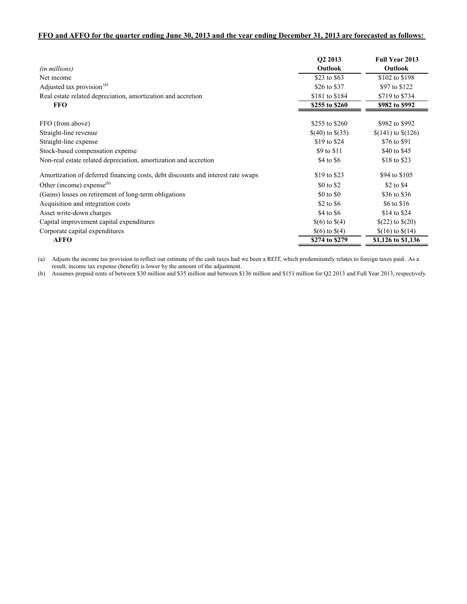# **FFO and AFFO for the quarter ending June 30, 2013 and the year ending December 31, 2013 are forecasted as follows:**

|                                                                                  | O <sub>2</sub> 2013 | <b>Full Year 2013</b> |
|----------------------------------------------------------------------------------|---------------------|-----------------------|
| (in millions)                                                                    | Outlook             | Outlook               |
| Net income                                                                       | \$23 to \$63        | \$102 to \$198        |
| Adjusted tax provision <sup>(a)</sup>                                            | \$26 to \$37        | \$97 to \$122         |
| Real estate related depreciation, amortization and accretion                     | \$181 to \$184      | \$719 to \$734        |
| <b>FFO</b>                                                                       | \$255 to \$260      | \$982 to \$992        |
| FFO (from above)                                                                 | \$255 to \$260      | \$982 to \$992        |
| Straight-line revenue                                                            | $$(40)$ to $$(35)$  | $$(141)$ to $$(126)$  |
| Straight-line expense                                                            | \$19 to \$24        | \$76 to \$91          |
| Stock-based compensation expense                                                 | \$9 to \$11         | \$40 to \$45          |
| Non-real estate related depreciation, amortization and accretion                 | \$4 to \$6          | \$18 to \$23          |
| Amortization of deferred financing costs, debt discounts and interest rate swaps | \$19 to \$23        | \$94 to \$105         |
| Other (income) expense $^{(b)}$                                                  | \$0 to \$2          | \$2 to \$4            |
| (Gains) losses on retirement of long-term obligations                            | \$0 to \$0          | \$36 to \$36          |
| Acquisition and integration costs                                                | \$2 to \$6          | \$6 to \$16           |
| Asset write-down charges                                                         | \$4 to \$6          | \$14 to \$24          |
| Capital improvement capital expenditures                                         | $\$(6)$ to $\$(4)$  | $\S(22)$ to $\S(20)$  |
| Corporate capital expenditures                                                   | $\$(6)$ to $\$(4)$  | $$(16)$ to $$(14)$    |
| <b>AFFO</b>                                                                      | \$274 to \$279      | \$1,126 to \$1,136    |

(a) Adjusts the income tax provision to reflect our estimate of the cash taxes had we been a REIT, which predominately relates to foreign taxes paid. As a result, income tax expense (benefit) is lower by the amount of the adjustment.

(b) Assumes prepaid rents of between \$30 million and \$35 million and between \$136 million and \$151 million for Q2 2013 and Full Year 2013, respectively.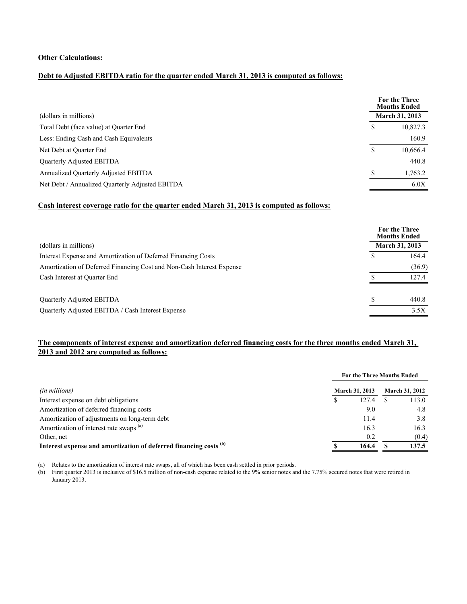#### **Other Calculations:**

#### **Debt to Adjusted EBITDA ratio for the quarter ended March 31, 2013 is computed as follows:**

|                                                 | For the Three<br><b>Months Ended</b> |                       |  |  |  |
|-------------------------------------------------|--------------------------------------|-----------------------|--|--|--|
| (dollars in millions)                           |                                      | <b>March 31, 2013</b> |  |  |  |
| Total Debt (face value) at Quarter End          | S                                    | 10,827.3              |  |  |  |
| Less: Ending Cash and Cash Equivalents          |                                      | 160.9                 |  |  |  |
| Net Debt at Ouarter End                         | \$                                   | 10,666.4              |  |  |  |
| <b>Ouarterly Adjusted EBITDA</b>                |                                      | 440.8                 |  |  |  |
| Annualized Ouarterly Adjusted EBITDA            | \$                                   | 1,763.2               |  |  |  |
| Net Debt / Annualized Quarterly Adjusted EBITDA |                                      | 6.0X                  |  |  |  |

# **Cash interest coverage ratio for the quarter ended March 31, 2013 is computed as follows:**

|                                                                       | <b>For the Three</b><br><b>Months Ended</b> |
|-----------------------------------------------------------------------|---------------------------------------------|
| (dollars in millions)                                                 | <b>March 31, 2013</b>                       |
| Interest Expense and Amortization of Deferred Financing Costs         | 164.4                                       |
| Amortization of Deferred Financing Cost and Non-Cash Interest Expense | (36.9)                                      |
| Cash Interest at Quarter End                                          | 127.4                                       |
| <b>Ouarterly Adjusted EBITDA</b>                                      | \$<br>440.8                                 |
| Quarterly Adjusted EBITDA / Cash Interest Expense                     | 3.5X                                        |

#### **The components of interest expense and amortization deferred financing costs for the three months ended March 31, 2013 and 2012 are computed as follows:**

|                                                                              | <b>For the Three Months Ended</b> |                       |  |                       |  |  |  |  |
|------------------------------------------------------------------------------|-----------------------------------|-----------------------|--|-----------------------|--|--|--|--|
| (in millions)                                                                |                                   | <b>March 31, 2013</b> |  | <b>March 31, 2012</b> |  |  |  |  |
| Interest expense on debt obligations                                         |                                   | 127.4                 |  | 113.0                 |  |  |  |  |
| Amortization of deferred financing costs                                     |                                   | 9.0                   |  | 4.8                   |  |  |  |  |
| Amortization of adjustments on long-term debt                                |                                   | 11.4                  |  | 3.8                   |  |  |  |  |
| Amortization of interest rate swaps (a)                                      |                                   | 16.3                  |  | 16.3                  |  |  |  |  |
| Other, net                                                                   |                                   | 0.2                   |  | (0.4)                 |  |  |  |  |
| Interest expense and amortization of deferred financing costs <sup>(b)</sup> |                                   | 164.4                 |  | 137.5                 |  |  |  |  |

(a) Relates to the amortization of interest rate swaps, all of which has been cash settled in prior periods.

(b) First quarter 2013 is inclusive of \$16.5 million of non-cash expense related to the 9% senior notes and the 7.75% secured notes that were retired in January 2013.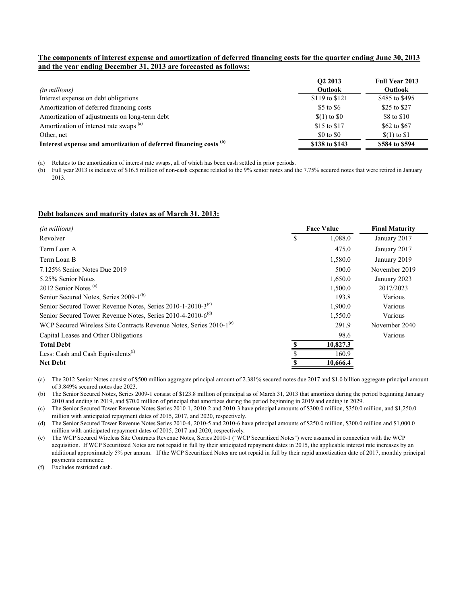#### **The components of interest expense and amortization of deferred financing costs for the quarter ending June 30, 2013 and the year ending December 31, 2013 are forecasted as follows:**

| (in millions)                                                                | O <sub>2</sub> 2013<br><b>Outlook</b> | <b>Full Year 2013</b><br><b>Outlook</b> |
|------------------------------------------------------------------------------|---------------------------------------|-----------------------------------------|
| Interest expense on debt obligations                                         | \$119 to \$121                        | \$485 to \$495                          |
| Amortization of deferred financing costs                                     | \$5 to \$6                            | \$25 to \$27                            |
| Amortization of adjustments on long-term debt                                | $\$(1)$ to $\$0$                      | \$8 to \$10                             |
| Amortization of interest rate swaps (a)                                      | \$15 to \$17                          | \$62 to \$67                            |
| Other, net                                                                   | \$0 to \$0                            | $\{(1) \text{ to } $1\}$                |
| Interest expense and amortization of deferred financing costs <sup>(b)</sup> | \$138 to \$143                        | \$584 to \$594                          |

(a) Relates to the amortization of interest rate swaps, all of which has been cash settled in prior periods.

(b) Full year 2013 is inclusive of \$16.5 million of non-cash expense related to the 9% senior notes and the 7.75% secured notes that were retired in January 2013.

#### **Debt balances and maturity dates as of March 31, 2013:**

| (in millions)                                                                   | <b>Face Value</b> | <b>Final Maturity</b> |  |  |
|---------------------------------------------------------------------------------|-------------------|-----------------------|--|--|
| Revolver                                                                        | \$<br>1,088.0     | January 2017          |  |  |
| Term Loan A                                                                     | 475.0             | January 2017          |  |  |
| Term Loan B                                                                     | 1,580.0           | January 2019          |  |  |
| 7.125% Senior Notes Due 2019                                                    | 500.0             | November 2019         |  |  |
| 5.25% Senior Notes                                                              | 1,650.0           | January 2023          |  |  |
| 2012 Senior Notes $(a)$                                                         | 1,500.0           | 2017/2023             |  |  |
| Senior Secured Notes, Series 2009-1 <sup>(b)</sup>                              | 193.8             | Various               |  |  |
| Senior Secured Tower Revenue Notes, Series 2010-1-2010-3 <sup>(c)</sup>         | 1,900.0           | Various               |  |  |
| Senior Secured Tower Revenue Notes, Series 2010-4-2010-6 <sup>(d)</sup>         | 1,550.0           | Various               |  |  |
| WCP Secured Wireless Site Contracts Revenue Notes, Series 2010-1 <sup>(e)</sup> | 291.9             | November 2040         |  |  |
| Capital Leases and Other Obligations                                            | 98.6              | Various               |  |  |
| <b>Total Debt</b>                                                               | 10,827.3          |                       |  |  |
| Less: Cash and Cash Equivalents <sup>(1)</sup>                                  | 160.9             |                       |  |  |
| <b>Net Debt</b>                                                                 | 10.666.4          |                       |  |  |

(a) The 2012 Senior Notes consist of \$500 million aggregate principal amount of 2.381% secured notes due 2017 and \$1.0 billion aggregate principal amount of 3.849% secured notes due 2023.

(b) The Senior Secured Notes, Series 2009-1 consist of \$123.8 million of principal as of March 31, 2013 that amortizes during the period beginning January 2010 and ending in 2019, and \$70.0 million of principal that amortizes during the period beginning in 2019 and ending in 2029.

(c) The Senior Secured Tower Revenue Notes Series 2010-1, 2010-2 and 2010-3 have principal amounts of \$300.0 million, \$350.0 million, and \$1,250.0 million with anticipated repayment dates of 2015, 2017, and 2020, respectively.

(d) The Senior Secured Tower Revenue Notes Series 2010-4, 2010-5 and 2010-6 have principal amounts of \$250.0 million, \$300.0 million and \$1,000.0 million with anticipated repayment dates of 2015, 2017 and 2020, respectively.

(e) The WCP Secured Wireless Site Contracts Revenue Notes, Series 2010-1 ("WCP Securitized Notes") were assumed in connection with the WCP acquisition. If WCP Securitized Notes are not repaid in full by their anticipated repayment dates in 2015, the applicable interest rate increases by an additional approximately 5% per annum. If the WCP Securitized Notes are not repaid in full by their rapid amortization date of 2017, monthly principal payments commence.

(f) Excludes restricted cash.